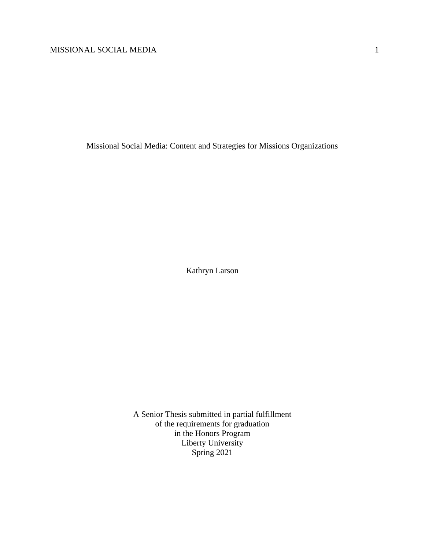Missional Social Media: Content and Strategies for Missions Organizations

Kathryn Larson

A Senior Thesis submitted in partial fulfillment of the requirements for graduation in the Honors Program Liberty University Spring 2021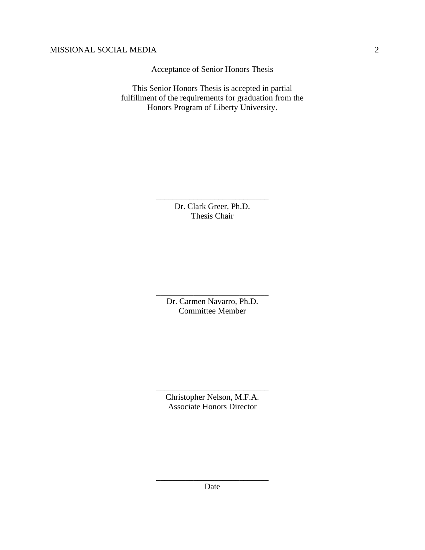Acceptance of Senior Honors Thesis

This Senior Honors Thesis is accepted in partial fulfillment of the requirements for graduation from the Honors Program of Liberty University.

> Dr. Clark Greer, Ph.D. Thesis Chair

\_\_\_\_\_\_\_\_\_\_\_\_\_\_\_\_\_\_\_\_\_\_\_\_\_\_\_

Dr. Carmen Navarro, Ph.D. Committee Member

\_\_\_\_\_\_\_\_\_\_\_\_\_\_\_\_\_\_\_\_\_\_\_\_\_\_\_

Christopher Nelson, M.F.A. Associate Honors Director

\_\_\_\_\_\_\_\_\_\_\_\_\_\_\_\_\_\_\_\_\_\_\_\_\_\_\_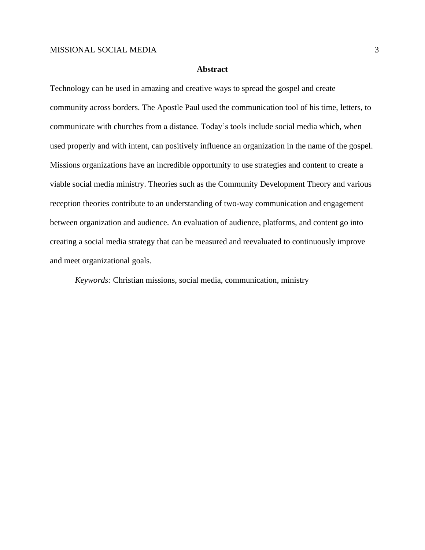### **Abstract**

Technology can be used in amazing and creative ways to spread the gospel and create community across borders. The Apostle Paul used the communication tool of his time, letters, to communicate with churches from a distance. Today's tools include social media which, when used properly and with intent, can positively influence an organization in the name of the gospel. Missions organizations have an incredible opportunity to use strategies and content to create a viable social media ministry. Theories such as the Community Development Theory and various reception theories contribute to an understanding of two-way communication and engagement between organization and audience. An evaluation of audience, platforms, and content go into creating a social media strategy that can be measured and reevaluated to continuously improve and meet organizational goals.

*Keywords:* Christian missions, social media, communication, ministry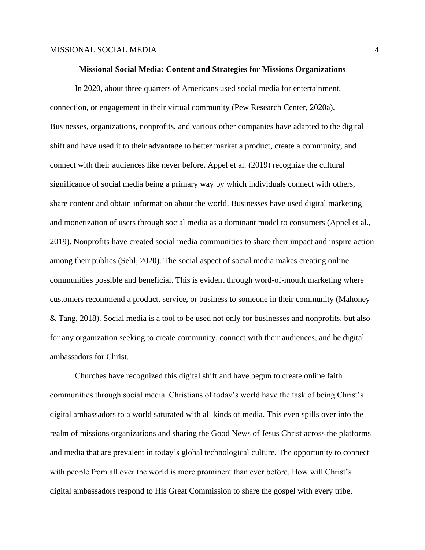#### **Missional Social Media: Content and Strategies for Missions Organizations**

In 2020, about three quarters of Americans used social media for entertainment, connection, or engagement in their virtual community (Pew Research Center, 2020a). Businesses, organizations, nonprofits, and various other companies have adapted to the digital shift and have used it to their advantage to better market a product, create a community, and connect with their audiences like never before. Appel et al. (2019) recognize the cultural significance of social media being a primary way by which individuals connect with others, share content and obtain information about the world. Businesses have used digital marketing and monetization of users through social media as a dominant model to consumers (Appel et al., 2019). Nonprofits have created social media communities to share their impact and inspire action among their publics (Sehl, 2020). The social aspect of social media makes creating online communities possible and beneficial. This is evident through word-of-mouth marketing where customers recommend a product, service, or business to someone in their community (Mahoney & Tang, 2018). Social media is a tool to be used not only for businesses and nonprofits, but also for any organization seeking to create community, connect with their audiences, and be digital ambassadors for Christ.

Churches have recognized this digital shift and have begun to create online faith communities through social media. Christians of today's world have the task of being Christ's digital ambassadors to a world saturated with all kinds of media. This even spills over into the realm of missions organizations and sharing the Good News of Jesus Christ across the platforms and media that are prevalent in today's global technological culture. The opportunity to connect with people from all over the world is more prominent than ever before. How will Christ's digital ambassadors respond to His Great Commission to share the gospel with every tribe,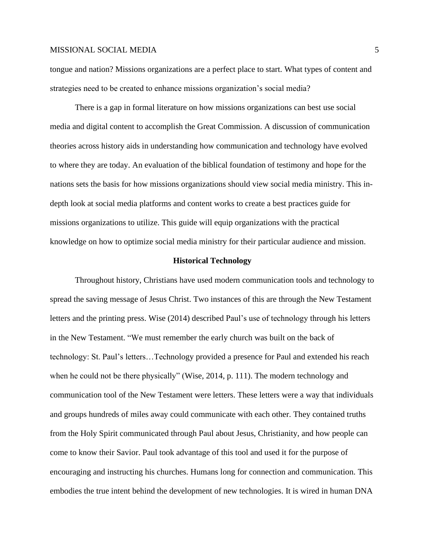tongue and nation? Missions organizations are a perfect place to start. What types of content and strategies need to be created to enhance missions organization's social media?

There is a gap in formal literature on how missions organizations can best use social media and digital content to accomplish the Great Commission. A discussion of communication theories across history aids in understanding how communication and technology have evolved to where they are today. An evaluation of the biblical foundation of testimony and hope for the nations sets the basis for how missions organizations should view social media ministry. This indepth look at social media platforms and content works to create a best practices guide for missions organizations to utilize. This guide will equip organizations with the practical knowledge on how to optimize social media ministry for their particular audience and mission.

#### **Historical Technology**

Throughout history, Christians have used modern communication tools and technology to spread the saving message of Jesus Christ. Two instances of this are through the New Testament letters and the printing press. Wise (2014) described Paul's use of technology through his letters in the New Testament. "We must remember the early church was built on the back of technology: St. Paul's letters…Technology provided a presence for Paul and extended his reach when he could not be there physically" (Wise, 2014, p. 111). The modern technology and communication tool of the New Testament were letters. These letters were a way that individuals and groups hundreds of miles away could communicate with each other. They contained truths from the Holy Spirit communicated through Paul about Jesus, Christianity, and how people can come to know their Savior. Paul took advantage of this tool and used it for the purpose of encouraging and instructing his churches. Humans long for connection and communication. This embodies the true intent behind the development of new technologies. It is wired in human DNA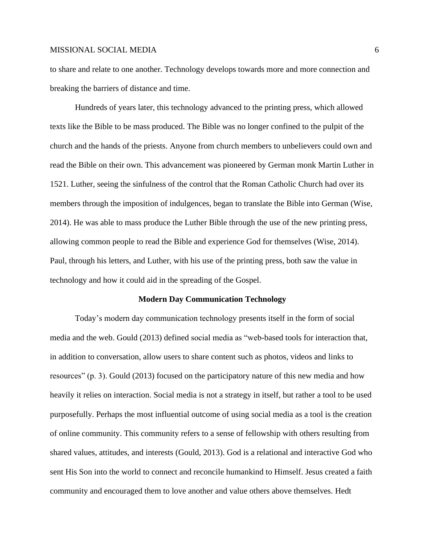to share and relate to one another. Technology develops towards more and more connection and breaking the barriers of distance and time.

Hundreds of years later, this technology advanced to the printing press, which allowed texts like the Bible to be mass produced. The Bible was no longer confined to the pulpit of the church and the hands of the priests. Anyone from church members to unbelievers could own and read the Bible on their own. This advancement was pioneered by German monk Martin Luther in 1521. Luther, seeing the sinfulness of the control that the Roman Catholic Church had over its members through the imposition of indulgences, began to translate the Bible into German (Wise, 2014). He was able to mass produce the Luther Bible through the use of the new printing press, allowing common people to read the Bible and experience God for themselves (Wise, 2014). Paul, through his letters, and Luther, with his use of the printing press, both saw the value in technology and how it could aid in the spreading of the Gospel.

#### **Modern Day Communication Technology**

Today's modern day communication technology presents itself in the form of social media and the web. Gould (2013) defined social media as "web-based tools for interaction that, in addition to conversation, allow users to share content such as photos, videos and links to resources" (p. 3). Gould (2013) focused on the participatory nature of this new media and how heavily it relies on interaction. Social media is not a strategy in itself, but rather a tool to be used purposefully. Perhaps the most influential outcome of using social media as a tool is the creation of online community. This community refers to a sense of fellowship with others resulting from shared values, attitudes, and interests (Gould, 2013). God is a relational and interactive God who sent His Son into the world to connect and reconcile humankind to Himself. Jesus created a faith community and encouraged them to love another and value others above themselves. Hedt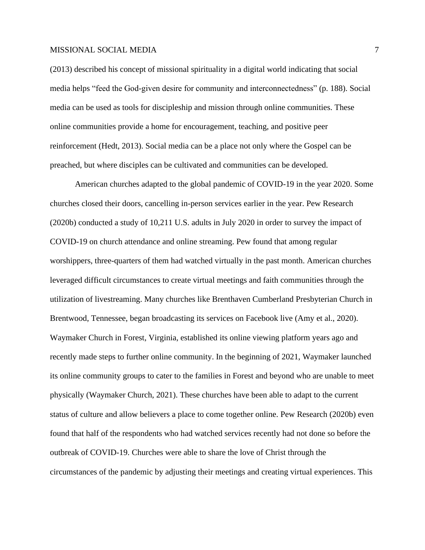(2013) described his concept of missional spirituality in a digital world indicating that social media helps "feed the God-given desire for community and interconnectedness" (p. 188). Social media can be used as tools for discipleship and mission through online communities. These online communities provide a home for encouragement, teaching, and positive peer reinforcement (Hedt, 2013). Social media can be a place not only where the Gospel can be preached, but where disciples can be cultivated and communities can be developed.

American churches adapted to the global pandemic of COVID-19 in the year 2020. Some churches closed their doors, cancelling in-person services earlier in the year. Pew Research (2020b) conducted a study of 10,211 U.S. adults in July 2020 in order to survey the impact of COVID-19 on church attendance and online streaming. Pew found that among regular worshippers, three-quarters of them had watched virtually in the past month. American churches leveraged difficult circumstances to create virtual meetings and faith communities through the utilization of livestreaming. Many churches like Brenthaven Cumberland Presbyterian Church in Brentwood, Tennessee, began broadcasting its services on Facebook live (Amy et al., 2020). Waymaker Church in Forest, Virginia, established its online viewing platform years ago and recently made steps to further online community. In the beginning of 2021, Waymaker launched its online community groups to cater to the families in Forest and beyond who are unable to meet physically (Waymaker Church, 2021). These churches have been able to adapt to the current status of culture and allow believers a place to come together online. Pew Research (2020b) even found that half of the respondents who had watched services recently had not done so before the outbreak of COVID-19. Churches were able to share the love of Christ through the circumstances of the pandemic by adjusting their meetings and creating virtual experiences. This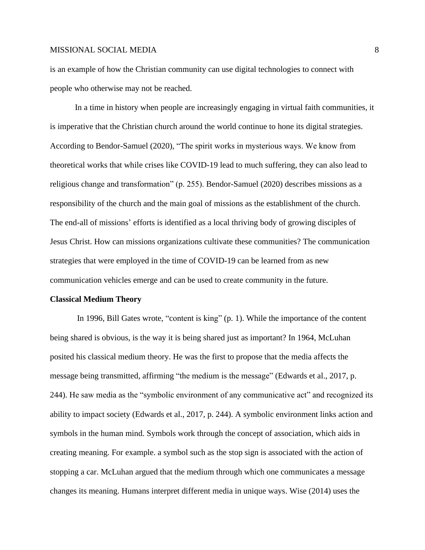is an example of how the Christian community can use digital technologies to connect with people who otherwise may not be reached.

In a time in history when people are increasingly engaging in virtual faith communities, it is imperative that the Christian church around the world continue to hone its digital strategies. According to Bendor-Samuel (2020), "The spirit works in mysterious ways. We know from theoretical works that while crises like COVID-19 lead to much suffering, they can also lead to religious change and transformation" (p. 255). Bendor-Samuel (2020) describes missions as a responsibility of the church and the main goal of missions as the establishment of the church. The end-all of missions' efforts is identified as a local thriving body of growing disciples of Jesus Christ. How can missions organizations cultivate these communities? The communication strategies that were employed in the time of COVID-19 can be learned from as new communication vehicles emerge and can be used to create community in the future.

#### **Classical Medium Theory**

In 1996, Bill Gates wrote, "content is king" (p. 1). While the importance of the content being shared is obvious, is the way it is being shared just as important? In 1964, McLuhan posited his classical medium theory. He was the first to propose that the media affects the message being transmitted, affirming "the medium is the message" (Edwards et al., 2017, p. 244). He saw media as the "symbolic environment of any communicative act" and recognized its ability to impact society (Edwards et al., 2017, p. 244). A symbolic environment links action and symbols in the human mind. Symbols work through the concept of association, which aids in creating meaning. For example. a symbol such as the stop sign is associated with the action of stopping a car. McLuhan argued that the medium through which one communicates a message changes its meaning. Humans interpret different media in unique ways. Wise (2014) uses the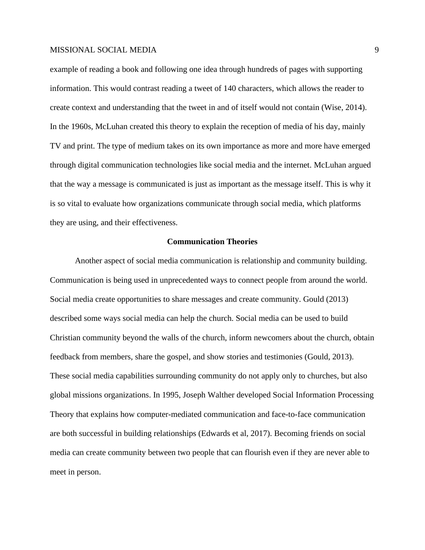example of reading a book and following one idea through hundreds of pages with supporting information. This would contrast reading a tweet of 140 characters, which allows the reader to create context and understanding that the tweet in and of itself would not contain (Wise, 2014). In the 1960s, McLuhan created this theory to explain the reception of media of his day, mainly TV and print. The type of medium takes on its own importance as more and more have emerged through digital communication technologies like social media and the internet. McLuhan argued that the way a message is communicated is just as important as the message itself. This is why it is so vital to evaluate how organizations communicate through social media, which platforms they are using, and their effectiveness.

### **Communication Theories**

Another aspect of social media communication is relationship and community building. Communication is being used in unprecedented ways to connect people from around the world. Social media create opportunities to share messages and create community. Gould (2013) described some ways social media can help the church. Social media can be used to build Christian community beyond the walls of the church, inform newcomers about the church, obtain feedback from members, share the gospel, and show stories and testimonies (Gould, 2013). These social media capabilities surrounding community do not apply only to churches, but also global missions organizations. In 1995, Joseph Walther developed Social Information Processing Theory that explains how computer-mediated communication and face-to-face communication are both successful in building relationships (Edwards et al, 2017). Becoming friends on social media can create community between two people that can flourish even if they are never able to meet in person.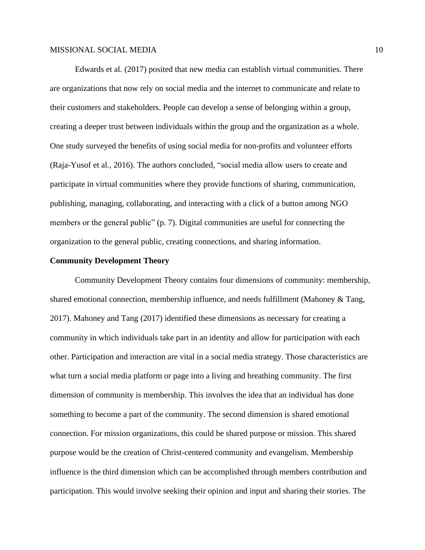Edwards et al. (2017) posited that new media can establish virtual communities. There are organizations that now rely on social media and the internet to communicate and relate to their customers and stakeholders. People can develop a sense of belonging within a group, creating a deeper trust between individuals within the group and the organization as a whole. One study surveyed the benefits of using social media for non-profits and volunteer efforts (Raja-Yusof et al., 2016). The authors concluded, "social media allow users to create and participate in virtual communities where they provide functions of sharing, communication, publishing, managing, collaborating, and interacting with a click of a button among NGO members or the general public" (p. 7). Digital communities are useful for connecting the organization to the general public, creating connections, and sharing information.

### **Community Development Theory**

Community Development Theory contains four dimensions of community: membership, shared emotional connection, membership influence, and needs fulfillment (Mahoney & Tang, 2017). Mahoney and Tang (2017) identified these dimensions as necessary for creating a community in which individuals take part in an identity and allow for participation with each other. Participation and interaction are vital in a social media strategy. Those characteristics are what turn a social media platform or page into a living and breathing community. The first dimension of community is membership. This involves the idea that an individual has done something to become a part of the community. The second dimension is shared emotional connection. For mission organizations, this could be shared purpose or mission. This shared purpose would be the creation of Christ-centered community and evangelism. Membership influence is the third dimension which can be accomplished through members contribution and participation. This would involve seeking their opinion and input and sharing their stories. The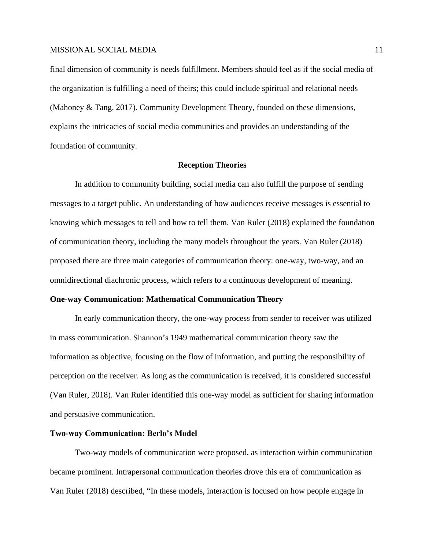final dimension of community is needs fulfillment. Members should feel as if the social media of the organization is fulfilling a need of theirs; this could include spiritual and relational needs (Mahoney & Tang, 2017). Community Development Theory, founded on these dimensions, explains the intricacies of social media communities and provides an understanding of the foundation of community.

### **Reception Theories**

In addition to community building, social media can also fulfill the purpose of sending messages to a target public. An understanding of how audiences receive messages is essential to knowing which messages to tell and how to tell them. Van Ruler (2018) explained the foundation of communication theory, including the many models throughout the years. Van Ruler (2018) proposed there are three main categories of communication theory: one-way, two-way, and an omnidirectional diachronic process, which refers to a continuous development of meaning.

### **One-way Communication: Mathematical Communication Theory**

In early communication theory, the one-way process from sender to receiver was utilized in mass communication. Shannon's 1949 mathematical communication theory saw the information as objective, focusing on the flow of information, and putting the responsibility of perception on the receiver. As long as the communication is received, it is considered successful (Van Ruler, 2018). Van Ruler identified this one-way model as sufficient for sharing information and persuasive communication.

### **Two-way Communication: Berlo's Model**

Two-way models of communication were proposed, as interaction within communication became prominent. Intrapersonal communication theories drove this era of communication as Van Ruler (2018) described, "In these models, interaction is focused on how people engage in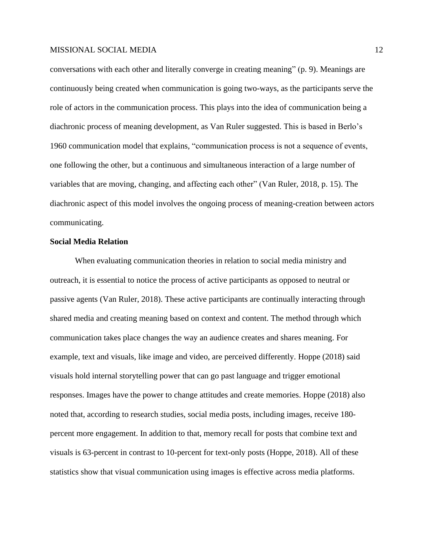conversations with each other and literally converge in creating meaning" (p. 9). Meanings are continuously being created when communication is going two-ways, as the participants serve the role of actors in the communication process. This plays into the idea of communication being a diachronic process of meaning development, as Van Ruler suggested. This is based in Berlo's 1960 communication model that explains, "communication process is not a sequence of events, one following the other, but a continuous and simultaneous interaction of a large number of variables that are moving, changing, and affecting each other" (Van Ruler, 2018, p. 15). The diachronic aspect of this model involves the ongoing process of meaning-creation between actors communicating.

## **Social Media Relation**

When evaluating communication theories in relation to social media ministry and outreach, it is essential to notice the process of active participants as opposed to neutral or passive agents (Van Ruler, 2018). These active participants are continually interacting through shared media and creating meaning based on context and content. The method through which communication takes place changes the way an audience creates and shares meaning. For example, text and visuals, like image and video, are perceived differently. Hoppe (2018) said visuals hold internal storytelling power that can go past language and trigger emotional responses. Images have the power to change attitudes and create memories. Hoppe (2018) also noted that, according to research studies, social media posts, including images, receive 180 percent more engagement. In addition to that, memory recall for posts that combine text and visuals is 63-percent in contrast to 10-percent for text-only posts (Hoppe, 2018). All of these statistics show that visual communication using images is effective across media platforms.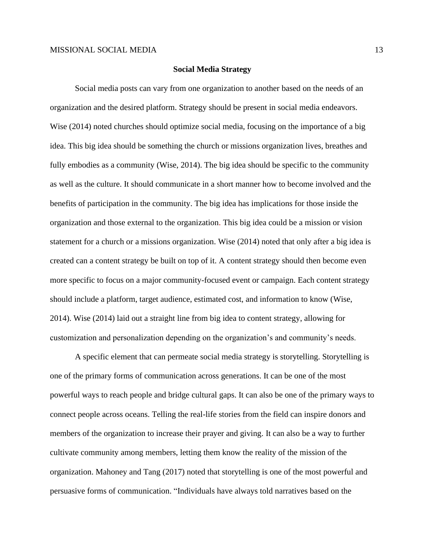#### **Social Media Strategy**

Social media posts can vary from one organization to another based on the needs of an organization and the desired platform. Strategy should be present in social media endeavors. Wise (2014) noted churches should optimize social media, focusing on the importance of a big idea. This big idea should be something the church or missions organization lives, breathes and fully embodies as a community (Wise, 2014). The big idea should be specific to the community as well as the culture. It should communicate in a short manner how to become involved and the benefits of participation in the community. The big idea has implications for those inside the organization and those external to the organization. This big idea could be a mission or vision statement for a church or a missions organization. Wise (2014) noted that only after a big idea is created can a content strategy be built on top of it. A content strategy should then become even more specific to focus on a major community-focused event or campaign. Each content strategy should include a platform, target audience, estimated cost, and information to know (Wise, 2014). Wise (2014) laid out a straight line from big idea to content strategy, allowing for customization and personalization depending on the organization's and community's needs.

A specific element that can permeate social media strategy is storytelling. Storytelling is one of the primary forms of communication across generations. It can be one of the most powerful ways to reach people and bridge cultural gaps. It can also be one of the primary ways to connect people across oceans. Telling the real-life stories from the field can inspire donors and members of the organization to increase their prayer and giving. It can also be a way to further cultivate community among members, letting them know the reality of the mission of the organization. Mahoney and Tang (2017) noted that storytelling is one of the most powerful and persuasive forms of communication. "Individuals have always told narratives based on the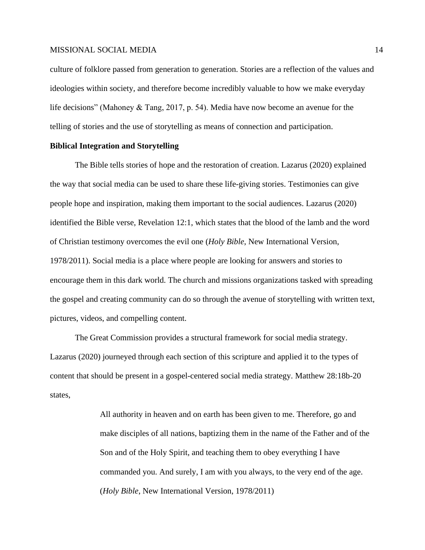culture of folklore passed from generation to generation. Stories are a reflection of the values and ideologies within society, and therefore become incredibly valuable to how we make everyday life decisions" (Mahoney & Tang, 2017, p. 54). Media have now become an avenue for the telling of stories and the use of storytelling as means of connection and participation.

### **Biblical Integration and Storytelling**

The Bible tells stories of hope and the restoration of creation. Lazarus (2020) explained the way that social media can be used to share these life-giving stories. Testimonies can give people hope and inspiration, making them important to the social audiences. Lazarus (2020) identified the Bible verse, Revelation 12:1, which states that the blood of the lamb and the word of Christian testimony overcomes the evil one (*Holy Bible*, New International Version, 1978/2011). Social media is a place where people are looking for answers and stories to encourage them in this dark world. The church and missions organizations tasked with spreading the gospel and creating community can do so through the avenue of storytelling with written text, pictures, videos, and compelling content.

The Great Commission provides a structural framework for social media strategy. Lazarus (2020) journeyed through each section of this scripture and applied it to the types of content that should be present in a gospel-centered social media strategy. Matthew 28:18b-20 states,

> All authority in heaven and on earth has been given to me. Therefore, go and make disciples of all nations, baptizing them in the name of the Father and of the Son and of the Holy Spirit, and teaching them to obey everything I have commanded you. And surely, I am with you always, to the very end of the age. (*Holy Bible*, New International Version, 1978/2011)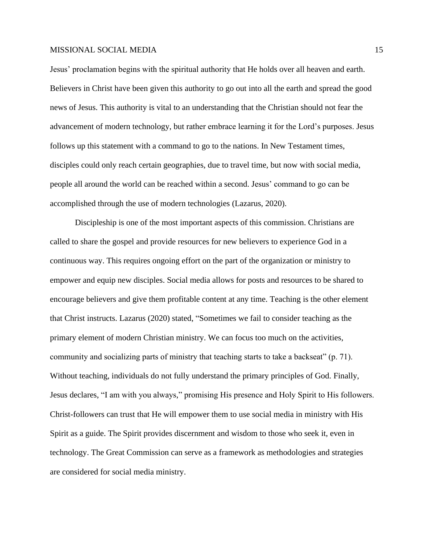Jesus' proclamation begins with the spiritual authority that He holds over all heaven and earth. Believers in Christ have been given this authority to go out into all the earth and spread the good news of Jesus. This authority is vital to an understanding that the Christian should not fear the advancement of modern technology, but rather embrace learning it for the Lord's purposes. Jesus follows up this statement with a command to go to the nations. In New Testament times, disciples could only reach certain geographies, due to travel time, but now with social media, people all around the world can be reached within a second. Jesus' command to go can be accomplished through the use of modern technologies (Lazarus, 2020).

Discipleship is one of the most important aspects of this commission. Christians are called to share the gospel and provide resources for new believers to experience God in a continuous way. This requires ongoing effort on the part of the organization or ministry to empower and equip new disciples. Social media allows for posts and resources to be shared to encourage believers and give them profitable content at any time. Teaching is the other element that Christ instructs. Lazarus (2020) stated, "Sometimes we fail to consider teaching as the primary element of modern Christian ministry. We can focus too much on the activities, community and socializing parts of ministry that teaching starts to take a backseat" (p. 71). Without teaching, individuals do not fully understand the primary principles of God. Finally, Jesus declares, "I am with you always," promising His presence and Holy Spirit to His followers. Christ-followers can trust that He will empower them to use social media in ministry with His Spirit as a guide. The Spirit provides discernment and wisdom to those who seek it, even in technology. The Great Commission can serve as a framework as methodologies and strategies are considered for social media ministry.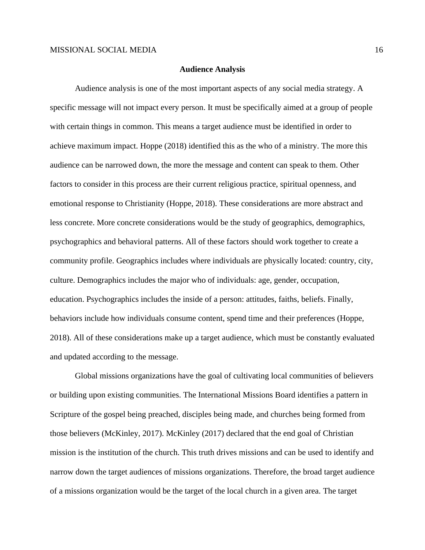#### **Audience Analysis**

Audience analysis is one of the most important aspects of any social media strategy. A specific message will not impact every person. It must be specifically aimed at a group of people with certain things in common. This means a target audience must be identified in order to achieve maximum impact. Hoppe (2018) identified this as the who of a ministry. The more this audience can be narrowed down, the more the message and content can speak to them. Other factors to consider in this process are their current religious practice, spiritual openness, and emotional response to Christianity (Hoppe, 2018). These considerations are more abstract and less concrete. More concrete considerations would be the study of geographics, demographics, psychographics and behavioral patterns. All of these factors should work together to create a community profile. Geographics includes where individuals are physically located: country, city, culture. Demographics includes the major who of individuals: age, gender, occupation, education. Psychographics includes the inside of a person: attitudes, faiths, beliefs. Finally, behaviors include how individuals consume content, spend time and their preferences (Hoppe, 2018). All of these considerations make up a target audience, which must be constantly evaluated and updated according to the message.

Global missions organizations have the goal of cultivating local communities of believers or building upon existing communities. The International Missions Board identifies a pattern in Scripture of the gospel being preached, disciples being made, and churches being formed from those believers (McKinley, 2017). McKinley (2017) declared that the end goal of Christian mission is the institution of the church. This truth drives missions and can be used to identify and narrow down the target audiences of missions organizations. Therefore, the broad target audience of a missions organization would be the target of the local church in a given area. The target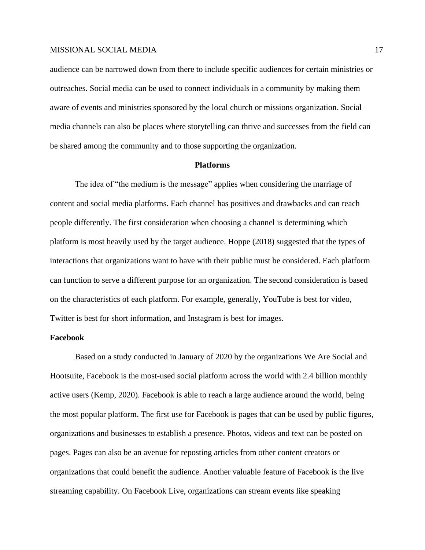audience can be narrowed down from there to include specific audiences for certain ministries or outreaches. Social media can be used to connect individuals in a community by making them aware of events and ministries sponsored by the local church or missions organization. Social media channels can also be places where storytelling can thrive and successes from the field can be shared among the community and to those supporting the organization.

### **Platforms**

The idea of "the medium is the message" applies when considering the marriage of content and social media platforms. Each channel has positives and drawbacks and can reach people differently. The first consideration when choosing a channel is determining which platform is most heavily used by the target audience. Hoppe (2018) suggested that the types of interactions that organizations want to have with their public must be considered. Each platform can function to serve a different purpose for an organization. The second consideration is based on the characteristics of each platform. For example, generally, YouTube is best for video, Twitter is best for short information, and Instagram is best for images.

### **Facebook**

Based on a study conducted in January of 2020 by the organizations We Are Social and Hootsuite, Facebook is the most-used social platform across the world with 2.4 billion monthly active users (Kemp, 2020). Facebook is able to reach a large audience around the world, being the most popular platform. The first use for Facebook is pages that can be used by public figures, organizations and businesses to establish a presence. Photos, videos and text can be posted on pages. Pages can also be an avenue for reposting articles from other content creators or organizations that could benefit the audience. Another valuable feature of Facebook is the live streaming capability. On Facebook Live, organizations can stream events like speaking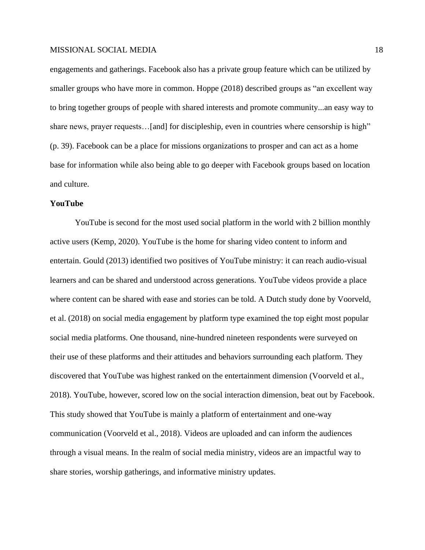engagements and gatherings. Facebook also has a private group feature which can be utilized by smaller groups who have more in common. Hoppe (2018) described groups as "an excellent way to bring together groups of people with shared interests and promote community...an easy way to share news, prayer requests...[and] for discipleship, even in countries where censorship is high" (p. 39). Facebook can be a place for missions organizations to prosper and can act as a home base for information while also being able to go deeper with Facebook groups based on location and culture.

## **YouTube**

YouTube is second for the most used social platform in the world with 2 billion monthly active users (Kemp, 2020). YouTube is the home for sharing video content to inform and entertain. Gould (2013) identified two positives of YouTube ministry: it can reach audio-visual learners and can be shared and understood across generations. YouTube videos provide a place where content can be shared with ease and stories can be told. A Dutch study done by Voorveld, et al. (2018) on social media engagement by platform type examined the top eight most popular social media platforms. One thousand, nine-hundred nineteen respondents were surveyed on their use of these platforms and their attitudes and behaviors surrounding each platform. They discovered that YouTube was highest ranked on the entertainment dimension (Voorveld et al., 2018). YouTube, however, scored low on the social interaction dimension, beat out by Facebook. This study showed that YouTube is mainly a platform of entertainment and one-way communication (Voorveld et al., 2018). Videos are uploaded and can inform the audiences through a visual means. In the realm of social media ministry, videos are an impactful way to share stories, worship gatherings, and informative ministry updates.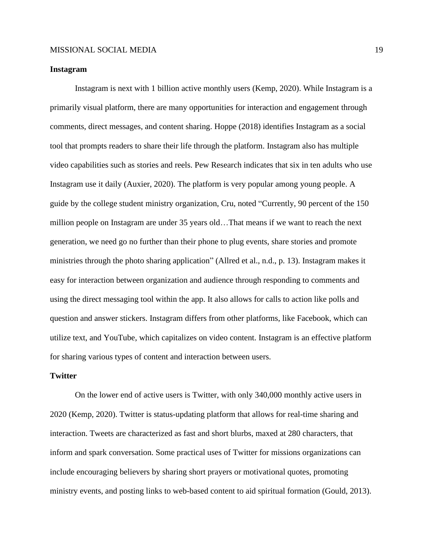### **Instagram**

Instagram is next with 1 billion active monthly users (Kemp, 2020). While Instagram is a primarily visual platform, there are many opportunities for interaction and engagement through comments, direct messages, and content sharing. Hoppe (2018) identifies Instagram as a social tool that prompts readers to share their life through the platform. Instagram also has multiple video capabilities such as stories and reels. Pew Research indicates that six in ten adults who use Instagram use it daily (Auxier, 2020). The platform is very popular among young people. A guide by the college student ministry organization, Cru, noted "Currently, 90 percent of the 150 million people on Instagram are under 35 years old…That means if we want to reach the next generation, we need go no further than their phone to plug events, share stories and promote ministries through the photo sharing application" (Allred et al., n.d., p. 13). Instagram makes it easy for interaction between organization and audience through responding to comments and using the direct messaging tool within the app. It also allows for calls to action like polls and question and answer stickers. Instagram differs from other platforms, like Facebook, which can utilize text, and YouTube, which capitalizes on video content. Instagram is an effective platform for sharing various types of content and interaction between users.

### **Twitter**

On the lower end of active users is Twitter, with only 340,000 monthly active users in 2020 (Kemp, 2020). Twitter is status-updating platform that allows for real-time sharing and interaction. Tweets are characterized as fast and short blurbs, maxed at 280 characters, that inform and spark conversation. Some practical uses of Twitter for missions organizations can include encouraging believers by sharing short prayers or motivational quotes, promoting ministry events, and posting links to web-based content to aid spiritual formation (Gould, 2013).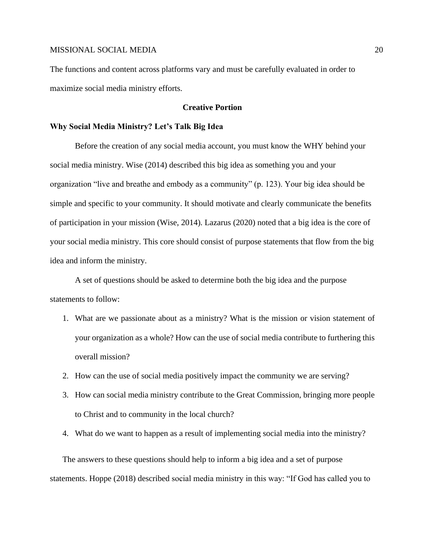The functions and content across platforms vary and must be carefully evaluated in order to maximize social media ministry efforts.

## **Creative Portion**

### **Why Social Media Ministry? Let's Talk Big Idea**

Before the creation of any social media account, you must know the WHY behind your social media ministry. Wise (2014) described this big idea as something you and your organization "live and breathe and embody as a community" (p. 123). Your big idea should be simple and specific to your community. It should motivate and clearly communicate the benefits of participation in your mission (Wise, 2014). Lazarus (2020) noted that a big idea is the core of your social media ministry. This core should consist of purpose statements that flow from the big idea and inform the ministry.

A set of questions should be asked to determine both the big idea and the purpose statements to follow:

- 1. What are we passionate about as a ministry? What is the mission or vision statement of your organization as a whole? How can the use of social media contribute to furthering this overall mission?
- 2. How can the use of social media positively impact the community we are serving?
- 3. How can social media ministry contribute to the Great Commission, bringing more people to Christ and to community in the local church?
- 4. What do we want to happen as a result of implementing social media into the ministry?

The answers to these questions should help to inform a big idea and a set of purpose statements. Hoppe (2018) described social media ministry in this way: "If God has called you to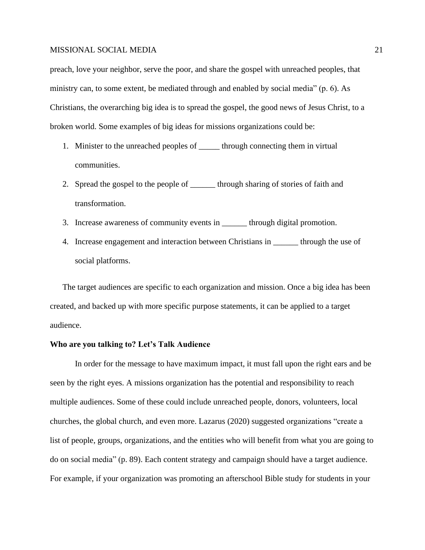preach, love your neighbor, serve the poor, and share the gospel with unreached peoples, that ministry can, to some extent, be mediated through and enabled by social media" (p. 6). As Christians, the overarching big idea is to spread the gospel, the good news of Jesus Christ, to a broken world. Some examples of big ideas for missions organizations could be:

- 1. Minister to the unreached peoples of <u>through connecting them</u> in virtual communities.
- 2. Spread the gospel to the people of through sharing of stories of faith and transformation.
- 3. Increase awareness of community events in \_\_\_\_\_\_ through digital promotion.
- 4. Increase engagement and interaction between Christians in through the use of social platforms.

The target audiences are specific to each organization and mission. Once a big idea has been created, and backed up with more specific purpose statements, it can be applied to a target audience.

## **Who are you talking to? Let's Talk Audience**

In order for the message to have maximum impact, it must fall upon the right ears and be seen by the right eyes. A missions organization has the potential and responsibility to reach multiple audiences. Some of these could include unreached people, donors, volunteers, local churches, the global church, and even more. Lazarus (2020) suggested organizations "create a list of people, groups, organizations, and the entities who will benefit from what you are going to do on social media" (p. 89). Each content strategy and campaign should have a target audience. For example, if your organization was promoting an afterschool Bible study for students in your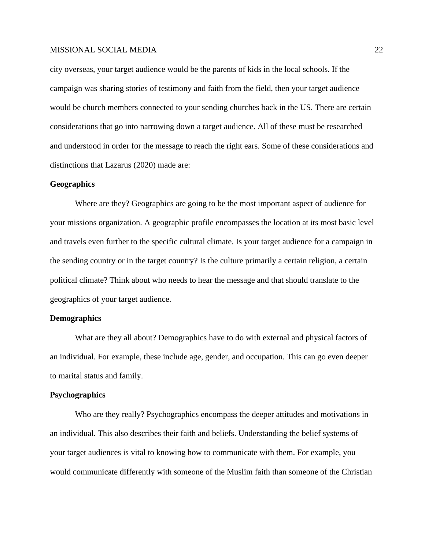city overseas, your target audience would be the parents of kids in the local schools. If the campaign was sharing stories of testimony and faith from the field, then your target audience would be church members connected to your sending churches back in the US. There are certain considerations that go into narrowing down a target audience. All of these must be researched and understood in order for the message to reach the right ears. Some of these considerations and distinctions that Lazarus (2020) made are:

### **Geographics**

Where are they? Geographics are going to be the most important aspect of audience for your missions organization. A geographic profile encompasses the location at its most basic level and travels even further to the specific cultural climate. Is your target audience for a campaign in the sending country or in the target country? Is the culture primarily a certain religion, a certain political climate? Think about who needs to hear the message and that should translate to the geographics of your target audience.

### **Demographics**

What are they all about? Demographics have to do with external and physical factors of an individual. For example, these include age, gender, and occupation. This can go even deeper to marital status and family.

### **Psychographics**

Who are they really? Psychographics encompass the deeper attitudes and motivations in an individual. This also describes their faith and beliefs. Understanding the belief systems of your target audiences is vital to knowing how to communicate with them. For example, you would communicate differently with someone of the Muslim faith than someone of the Christian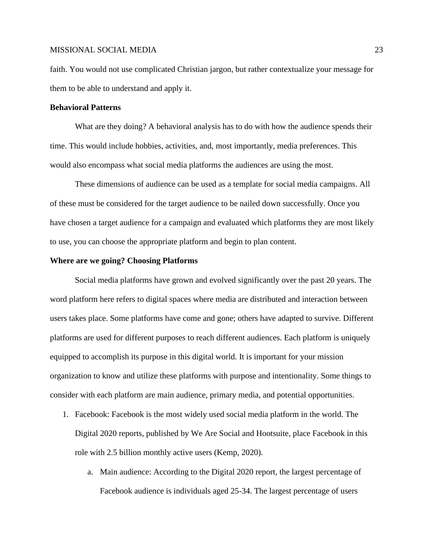faith. You would not use complicated Christian jargon, but rather contextualize your message for them to be able to understand and apply it.

### **Behavioral Patterns**

What are they doing? A behavioral analysis has to do with how the audience spends their time. This would include hobbies, activities, and, most importantly, media preferences. This would also encompass what social media platforms the audiences are using the most.

These dimensions of audience can be used as a template for social media campaigns. All of these must be considered for the target audience to be nailed down successfully. Once you have chosen a target audience for a campaign and evaluated which platforms they are most likely to use, you can choose the appropriate platform and begin to plan content.

### **Where are we going? Choosing Platforms**

Social media platforms have grown and evolved significantly over the past 20 years. The word platform here refers to digital spaces where media are distributed and interaction between users takes place. Some platforms have come and gone; others have adapted to survive. Different platforms are used for different purposes to reach different audiences. Each platform is uniquely equipped to accomplish its purpose in this digital world. It is important for your mission organization to know and utilize these platforms with purpose and intentionality. Some things to consider with each platform are main audience, primary media, and potential opportunities.

- 1. Facebook: Facebook is the most widely used social media platform in the world. The Digital 2020 reports, published by We Are Social and Hootsuite, place Facebook in this role with 2.5 billion monthly active users (Kemp, 2020).
	- a. Main audience: According to the Digital 2020 report, the largest percentage of Facebook audience is individuals aged 25-34. The largest percentage of users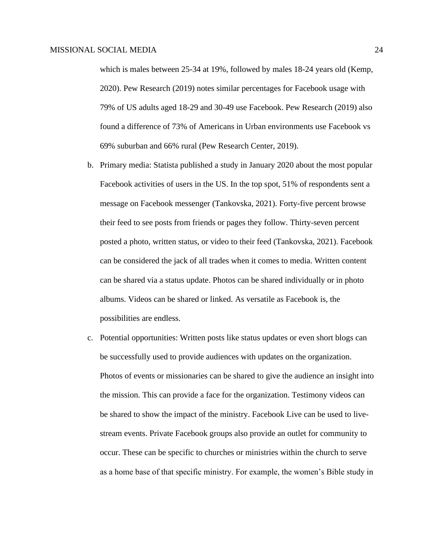which is males between 25-34 at 19%, followed by males 18-24 years old (Kemp, 2020). Pew Research (2019) notes similar percentages for Facebook usage with 79% of US adults aged 18-29 and 30-49 use Facebook. Pew Research (2019) also found a difference of 73% of Americans in Urban environments use Facebook vs 69% suburban and 66% rural (Pew Research Center, 2019).

- b. Primary media: Statista published a study in January 2020 about the most popular Facebook activities of users in the US. In the top spot, 51% of respondents sent a message on Facebook messenger (Tankovska, 2021). Forty-five percent browse their feed to see posts from friends or pages they follow. Thirty-seven percent posted a photo, written status, or video to their feed (Tankovska, 2021). Facebook can be considered the jack of all trades when it comes to media. Written content can be shared via a status update. Photos can be shared individually or in photo albums. Videos can be shared or linked. As versatile as Facebook is, the possibilities are endless.
- c. Potential opportunities: Written posts like status updates or even short blogs can be successfully used to provide audiences with updates on the organization. Photos of events or missionaries can be shared to give the audience an insight into the mission. This can provide a face for the organization. Testimony videos can be shared to show the impact of the ministry. Facebook Live can be used to livestream events. Private Facebook groups also provide an outlet for community to occur. These can be specific to churches or ministries within the church to serve as a home base of that specific ministry. For example, the women's Bible study in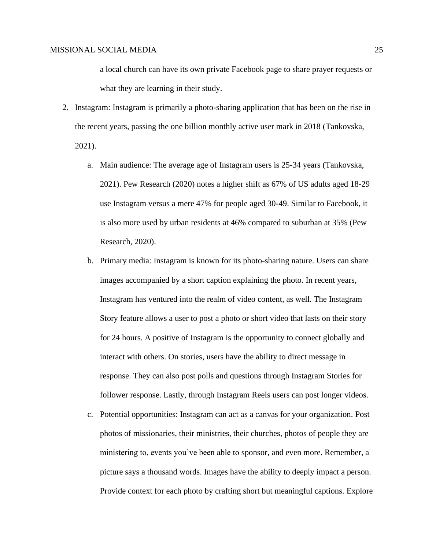a local church can have its own private Facebook page to share prayer requests or what they are learning in their study.

- 2. Instagram: Instagram is primarily a photo-sharing application that has been on the rise in the recent years, passing the one billion monthly active user mark in 2018 (Tankovska, 2021).
	- a. Main audience: The average age of Instagram users is 25-34 years (Tankovska, 2021). Pew Research (2020) notes a higher shift as 67% of US adults aged 18-29 use Instagram versus a mere 47% for people aged 30-49. Similar to Facebook, it is also more used by urban residents at 46% compared to suburban at 35% (Pew Research, 2020).
	- b. Primary media: Instagram is known for its photo-sharing nature. Users can share images accompanied by a short caption explaining the photo. In recent years, Instagram has ventured into the realm of video content, as well. The Instagram Story feature allows a user to post a photo or short video that lasts on their story for 24 hours. A positive of Instagram is the opportunity to connect globally and interact with others. On stories, users have the ability to direct message in response. They can also post polls and questions through Instagram Stories for follower response. Lastly, through Instagram Reels users can post longer videos.
	- c. Potential opportunities: Instagram can act as a canvas for your organization. Post photos of missionaries, their ministries, their churches, photos of people they are ministering to, events you've been able to sponsor, and even more. Remember, a picture says a thousand words. Images have the ability to deeply impact a person. Provide context for each photo by crafting short but meaningful captions. Explore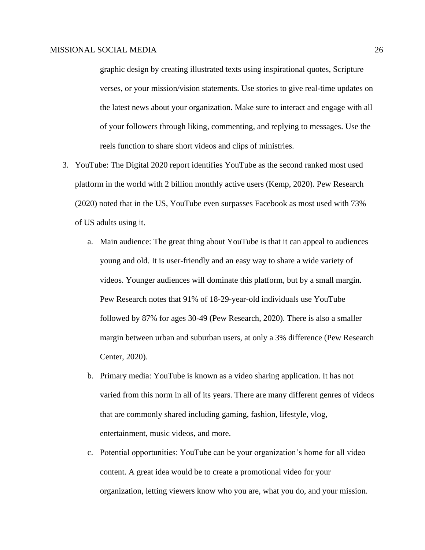graphic design by creating illustrated texts using inspirational quotes, Scripture verses, or your mission/vision statements. Use stories to give real-time updates on the latest news about your organization. Make sure to interact and engage with all of your followers through liking, commenting, and replying to messages. Use the reels function to share short videos and clips of ministries.

- 3. YouTube: The Digital 2020 report identifies YouTube as the second ranked most used platform in the world with 2 billion monthly active users (Kemp, 2020). Pew Research (2020) noted that in the US, YouTube even surpasses Facebook as most used with 73% of US adults using it.
	- a. Main audience: The great thing about YouTube is that it can appeal to audiences young and old. It is user-friendly and an easy way to share a wide variety of videos. Younger audiences will dominate this platform, but by a small margin. Pew Research notes that 91% of 18-29-year-old individuals use YouTube followed by 87% for ages 30-49 (Pew Research, 2020). There is also a smaller margin between urban and suburban users, at only a 3% difference (Pew Research Center, 2020).
	- b. Primary media: YouTube is known as a video sharing application. It has not varied from this norm in all of its years. There are many different genres of videos that are commonly shared including gaming, fashion, lifestyle, vlog, entertainment, music videos, and more.
	- c. Potential opportunities: YouTube can be your organization's home for all video content. A great idea would be to create a promotional video for your organization, letting viewers know who you are, what you do, and your mission.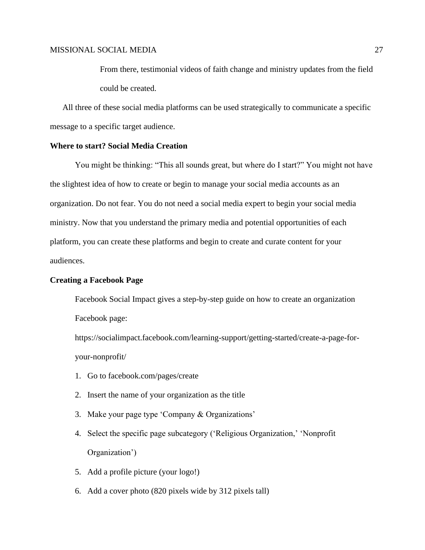From there, testimonial videos of faith change and ministry updates from the field could be created.

All three of these social media platforms can be used strategically to communicate a specific message to a specific target audience.

## **Where to start? Social Media Creation**

You might be thinking: "This all sounds great, but where do I start?" You might not have the slightest idea of how to create or begin to manage your social media accounts as an organization. Do not fear. You do not need a social media expert to begin your social media ministry. Now that you understand the primary media and potential opportunities of each platform, you can create these platforms and begin to create and curate content for your audiences.

### **Creating a Facebook Page**

Facebook Social Impact gives a step-by-step guide on how to create an organization Facebook page:

https://socialimpact.facebook.com/learning-support/getting-started/create-a-page-foryour-nonprofit/

- 1. Go to facebook.com/pages/create
- 2. Insert the name of your organization as the title
- 3. Make your page type 'Company & Organizations'
- 4. Select the specific page subcategory ('Religious Organization,' 'Nonprofit Organization')
- 5. Add a profile picture (your logo!)
- 6. Add a cover photo (820 pixels wide by 312 pixels tall)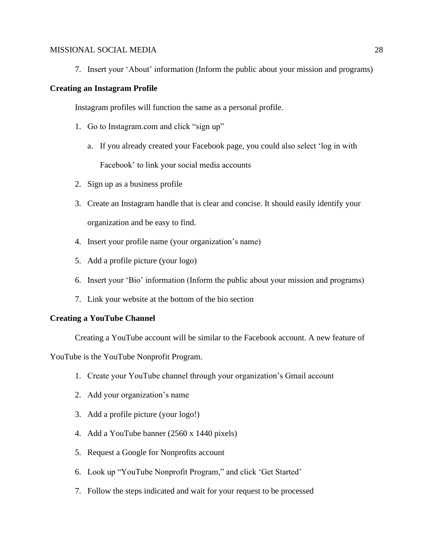7. Insert your 'About' information (Inform the public about your mission and programs)

### **Creating an Instagram Profile**

Instagram profiles will function the same as a personal profile.

- 1. Go to Instagram.com and click "sign up"
	- a. If you already created your Facebook page, you could also select 'log in with Facebook' to link your social media accounts
- 2. Sign up as a business profile
- 3. Create an Instagram handle that is clear and concise. It should easily identify your organization and be easy to find.
- 4. Insert your profile name (your organization's name)
- 5. Add a profile picture (your logo)
- 6. Insert your 'Bio' information (Inform the public about your mission and programs)
- 7. Link your website at the bottom of the bio section

## **Creating a YouTube Channel**

Creating a YouTube account will be similar to the Facebook account. A new feature of

YouTube is the YouTube Nonprofit Program.

- 1. Create your YouTube channel through your organization's Gmail account
- 2. Add your organization's name
- 3. Add a profile picture (your logo!)
- 4. Add a YouTube banner (2560 x 1440 pixels)
- 5. Request a Google for Nonprofits account
- 6. Look up "YouTube Nonprofit Program," and click 'Get Started'
- 7. Follow the steps indicated and wait for your request to be processed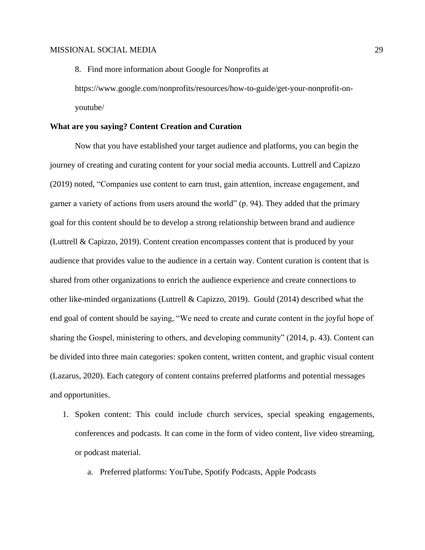https://www.google.com/nonprofits/resources/how-to-guide/get-your-nonprofit-onyoutube/

8. Find more information about Google for Nonprofits at

### **What are you saying? Content Creation and Curation**

Now that you have established your target audience and platforms, you can begin the journey of creating and curating content for your social media accounts. Luttrell and Capizzo (2019) noted, "Companies use content to earn trust, gain attention, increase engagement, and garner a variety of actions from users around the world" (p. 94). They added that the primary goal for this content should be to develop a strong relationship between brand and audience (Luttrell & Capizzo, 2019). Content creation encompasses content that is produced by your audience that provides value to the audience in a certain way. Content curation is content that is shared from other organizations to enrich the audience experience and create connections to other like-minded organizations (Luttrell & Capizzo, 2019). Gould (2014) described what the end goal of content should be saying, "We need to create and curate content in the joyful hope of sharing the Gospel, ministering to others, and developing community" (2014, p. 43). Content can be divided into three main categories: spoken content, written content, and graphic visual content (Lazarus, 2020). Each category of content contains preferred platforms and potential messages and opportunities.

- 1. Spoken content: This could include church services, special speaking engagements, conferences and podcasts. It can come in the form of video content, live video streaming, or podcast material.
	- a. Preferred platforms: YouTube, Spotify Podcasts, Apple Podcasts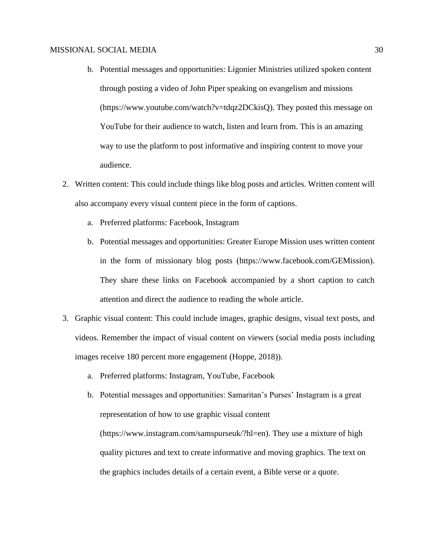- b. Potential messages and opportunities: Ligonier Ministries utilized spoken content through posting a video of John Piper speaking on evangelism and missions (https://www.youtube.com/watch?v=tdqz2DCkisQ). They posted this message on YouTube for their audience to watch, listen and learn from. This is an amazing way to use the platform to post informative and inspiring content to move your audience.
- 2. Written content: This could include things like blog posts and articles. Written content will also accompany every visual content piece in the form of captions.
	- a. Preferred platforms: Facebook, Instagram
	- b. Potential messages and opportunities: Greater Europe Mission uses written content in the form of missionary blog posts (https://www.facebook.com/GEMission). They share these links on Facebook accompanied by a short caption to catch attention and direct the audience to reading the whole article.
- 3. Graphic visual content: This could include images, graphic designs, visual text posts, and videos. Remember the impact of visual content on viewers (social media posts including images receive 180 percent more engagement (Hoppe, 2018)).
	- a. Preferred platforms: Instagram, YouTube, Facebook
	- b. Potential messages and opportunities: Samaritan's Purses' Instagram is a great representation of how to use graphic visual content (https://www.instagram.com/samspurseuk/?hl=en). They use a mixture of high quality pictures and text to create informative and moving graphics. The text on the graphics includes details of a certain event, a Bible verse or a quote.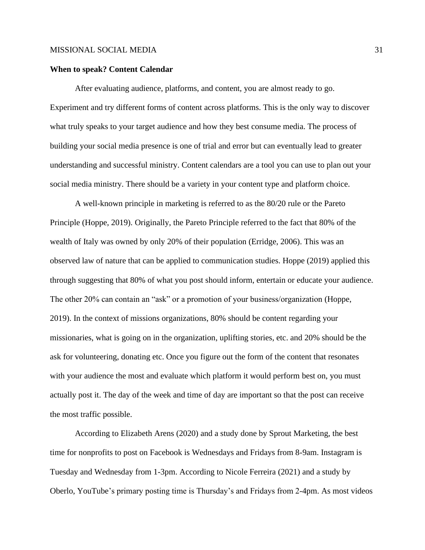### **When to speak? Content Calendar**

After evaluating audience, platforms, and content, you are almost ready to go. Experiment and try different forms of content across platforms. This is the only way to discover what truly speaks to your target audience and how they best consume media. The process of building your social media presence is one of trial and error but can eventually lead to greater understanding and successful ministry. Content calendars are a tool you can use to plan out your social media ministry. There should be a variety in your content type and platform choice.

A well-known principle in marketing is referred to as the 80/20 rule or the Pareto Principle (Hoppe, 2019). Originally, the Pareto Principle referred to the fact that 80% of the wealth of Italy was owned by only 20% of their population (Erridge, 2006). This was an observed law of nature that can be applied to communication studies. Hoppe (2019) applied this through suggesting that 80% of what you post should inform, entertain or educate your audience. The other 20% can contain an "ask" or a promotion of your business/organization (Hoppe, 2019). In the context of missions organizations, 80% should be content regarding your missionaries, what is going on in the organization, uplifting stories, etc. and 20% should be the ask for volunteering, donating etc. Once you figure out the form of the content that resonates with your audience the most and evaluate which platform it would perform best on, you must actually post it. The day of the week and time of day are important so that the post can receive the most traffic possible.

According to Elizabeth Arens (2020) and a study done by Sprout Marketing, the best time for nonprofits to post on Facebook is Wednesdays and Fridays from 8-9am. Instagram is Tuesday and Wednesday from 1-3pm. According to Nicole Ferreira (2021) and a study by Oberlo, YouTube's primary posting time is Thursday's and Fridays from 2-4pm. As most videos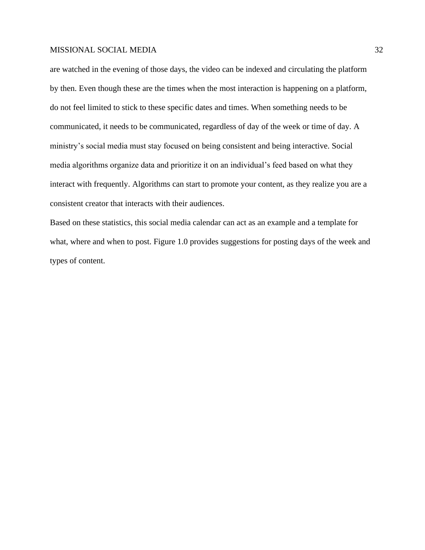are watched in the evening of those days, the video can be indexed and circulating the platform by then. Even though these are the times when the most interaction is happening on a platform, do not feel limited to stick to these specific dates and times. When something needs to be communicated, it needs to be communicated, regardless of day of the week or time of day. A ministry's social media must stay focused on being consistent and being interactive. Social media algorithms organize data and prioritize it on an individual's feed based on what they interact with frequently. Algorithms can start to promote your content, as they realize you are a consistent creator that interacts with their audiences.

Based on these statistics, this social media calendar can act as an example and a template for what, where and when to post. Figure 1.0 provides suggestions for posting days of the week and types of content.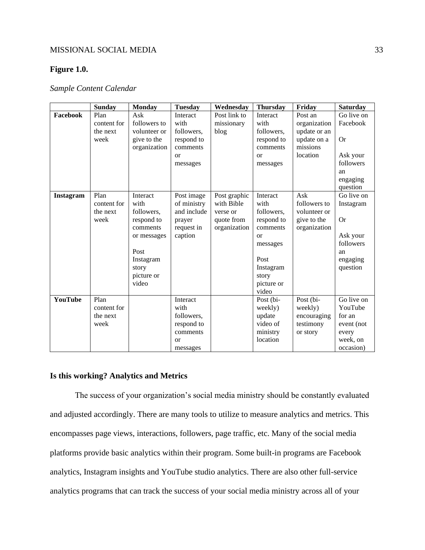## **Figure 1.0.**

## *Sample Content Calendar*

|           | <b>Sunday</b>                           | <b>Monday</b>                                                                                                                | <b>Tuesday</b>                                                                        | Wednesday                                                            | <b>Thursday</b>                                                                                                                       | Friday                                                                         | <b>Saturday</b>                                                                            |
|-----------|-----------------------------------------|------------------------------------------------------------------------------------------------------------------------------|---------------------------------------------------------------------------------------|----------------------------------------------------------------------|---------------------------------------------------------------------------------------------------------------------------------------|--------------------------------------------------------------------------------|--------------------------------------------------------------------------------------------|
| Facebook  | Plan<br>content for<br>the next<br>week | Ask<br>followers to<br>volunteer or<br>give to the<br>organization                                                           | Interact<br>with<br>followers,<br>respond to<br>comments<br><sub>or</sub><br>messages | Post link to<br>missionary<br>blog                                   | Interact<br>with<br>followers,<br>respond to<br>comments<br>$\alpha$<br>messages                                                      | Post an<br>organization<br>update or an<br>update on a<br>missions<br>location | Go live on<br>Facebook<br><b>Or</b><br>Ask your<br>followers<br>an<br>engaging<br>question |
| Instagram | Plan<br>content for<br>the next<br>week | Interact<br>with<br>followers,<br>respond to<br>comments<br>or messages<br>Post<br>Instagram<br>story<br>picture or<br>video | Post image<br>of ministry<br>and include<br>prayer<br>request in<br>caption           | Post graphic<br>with Bible<br>verse or<br>quote from<br>organization | Interact<br>with<br>followers,<br>respond to<br>comments<br>$\alpha$<br>messages<br>Post<br>Instagram<br>story<br>picture or<br>video | Ask<br>followers to<br>volunteer or<br>give to the<br>organization             | Go live on<br>Instagram<br>Or<br>Ask your<br>followers<br>an<br>engaging<br>question       |
| YouTube   | Plan<br>content for<br>the next<br>week |                                                                                                                              | Interact<br>with<br>followers,<br>respond to<br>comments<br><b>or</b><br>messages     |                                                                      | Post (bi-<br>weekly)<br>update<br>video of<br>ministry<br>location                                                                    | Post (bi-<br>weekly)<br>encouraging<br>testimony<br>or story                   | Go live on<br>YouTube<br>for an<br>event (not<br>every<br>week, on<br>occasion)            |

## **Is this working? Analytics and Metrics**

The success of your organization's social media ministry should be constantly evaluated and adjusted accordingly. There are many tools to utilize to measure analytics and metrics. This encompasses page views, interactions, followers, page traffic, etc. Many of the social media platforms provide basic analytics within their program. Some built-in programs are Facebook analytics, Instagram insights and YouTube studio analytics. There are also other full-service analytics programs that can track the success of your social media ministry across all of your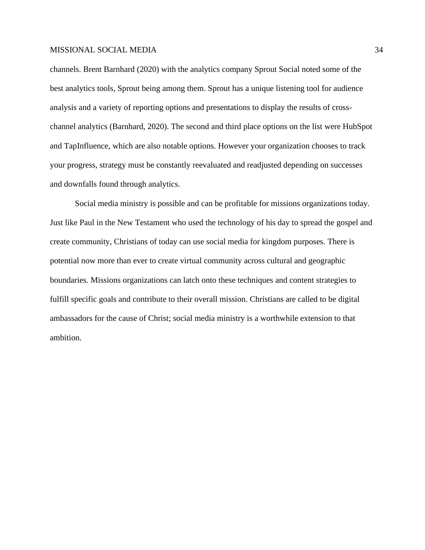channels. Brent Barnhard (2020) with the analytics company Sprout Social noted some of the best analytics tools, Sprout being among them. Sprout has a unique listening tool for audience analysis and a variety of reporting options and presentations to display the results of crosschannel analytics (Barnhard, 2020). The second and third place options on the list were HubSpot and TapInfluence, which are also notable options. However your organization chooses to track your progress, strategy must be constantly reevaluated and readjusted depending on successes and downfalls found through analytics.

Social media ministry is possible and can be profitable for missions organizations today. Just like Paul in the New Testament who used the technology of his day to spread the gospel and create community, Christians of today can use social media for kingdom purposes. There is potential now more than ever to create virtual community across cultural and geographic boundaries. Missions organizations can latch onto these techniques and content strategies to fulfill specific goals and contribute to their overall mission. Christians are called to be digital ambassadors for the cause of Christ; social media ministry is a worthwhile extension to that ambition.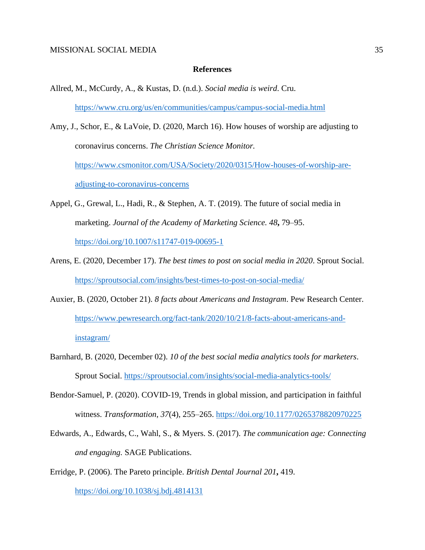#### **References**

- Allred, M., McCurdy, A., & Kustas, D. (n.d.). *Social media is weird*. Cru. <https://www.cru.org/us/en/communities/campus/campus-social-media.html>
- Amy, J., Schor, E., & LaVoie, D. (2020, March 16). How houses of worship are adjusting to coronavirus concerns. *The Christian Science Monitor.* [https://www.csmonitor.com/USA/Society/2020/0315/How-houses-of-worship-are](https://www.csmonitor.com/USA/Society/2020/0315/How-houses-of-worship-are-adjusting-to-coronavirus-concerns)[adjusting-to-coronavirus-concerns](https://www.csmonitor.com/USA/Society/2020/0315/How-houses-of-worship-are-adjusting-to-coronavirus-concerns)
- Appel, G., Grewal, L., Hadi, R., & Stephen, A. T. (2019). The future of social media in marketing. *Journal of the Academy of Marketing Science. 48***,** 79–95. <https://doi.org/10.1007/s11747-019-00695-1>
- Arens, E. (2020, December 17). *The best times to post on social media in 2020*. Sprout Social. <https://sproutsocial.com/insights/best-times-to-post-on-social-media/>
- Auxier, B. (2020, October 21). *8 facts about Americans and Instagram*. Pew Research Center. [https://www.pewresearch.org/fact-tank/2020/10/21/8-facts-about-americans-and](https://www.pewresearch.org/fact-tank/2020/10/21/8-facts-about-americans-and-instagram/)[instagram/](https://www.pewresearch.org/fact-tank/2020/10/21/8-facts-about-americans-and-instagram/)
- Barnhard, B. (2020, December 02). *10 of the best social media analytics tools for marketers*. Sprout Social.<https://sproutsocial.com/insights/social-media-analytics-tools/>
- Bendor-Samuel, P. (2020). COVID-19, Trends in global mission, and participation in faithful witness. *Transformation*, *37*(4), 255–265.<https://doi.org/10.1177/0265378820970225>
- Edwards, A., Edwards, C., Wahl, S., & Myers. S. (2017). *The communication age: Connecting and engaging.* SAGE Publications.
- Erridge, P. (2006). The Pareto principle. *British Dental Journal 201***,** 419. <https://doi.org/10.1038/sj.bdj.4814131>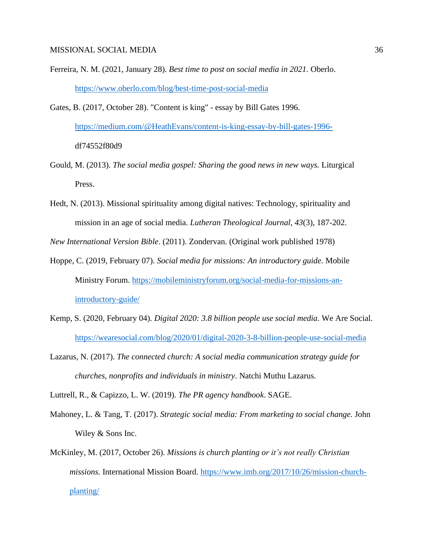- Ferreira, N. M. (2021, January 28). *Best time to post on social media in 2021.* Oberlo. <https://www.oberlo.com/blog/best-time-post-social-media>
- Gates, B. (2017, October 28). "Content is king" essay by Bill Gates 1996. [https://medium.com/@HeathEvans/content-is-king-essay-by-bill-gates-1996](https://medium.com/@HeathEvans/content-is-king-essay-by-bill-gates-1996-) df74552f80d9
- Gould, M. (2013). *The social media gospel: Sharing the good news in new ways.* Liturgical Press.
- Hedt, N. (2013). Missional spirituality among digital natives: Technology, spirituality and mission in an age of social media. *Lutheran Theological Journal, 43*(3), 187-202.

*New International Version Bible*. (2011). Zondervan. (Original work published 1978)

- Hoppe, C. (2019, February 07). *Social media for missions: An introductory guide.* Mobile Ministry Forum. [https://mobileministryforum.org/social-media-for-missions-an](https://mobileministryforum.org/social-media-for-missions-an-introductory-guide/)[introductory-guide/](https://mobileministryforum.org/social-media-for-missions-an-introductory-guide/)
- Kemp, S. (2020, February 04). *Digital 2020: 3.8 billion people use social media.* We Are Social. <https://wearesocial.com/blog/2020/01/digital-2020-3-8-billion-people-use-social-media>
- Lazarus, N. (2017). *The connected church: A social media communication strategy guide for churches, nonprofits and individuals in ministry*. Natchi Muthu Lazarus.

Luttrell, R., & Capizzo, L. W. (2019). *The PR agency handbook*. SAGE.

- Mahoney, L. & Tang, T. (2017). *Strategic social media: From marketing to social change.* John Wiley & Sons Inc.
- McKinley, M. (2017, October 26). *Missions is church planting or it's not really Christian missions.* International Mission Board. [https://www.imb.org/2017/10/26/mission-church](https://www.imb.org/2017/10/26/mission-church-planting/)[planting/](https://www.imb.org/2017/10/26/mission-church-planting/)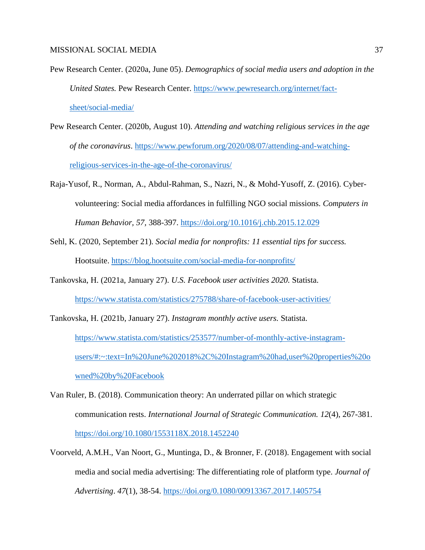- Pew Research Center. (2020a, June 05). *Demographics of social media users and adoption in the United States.* Pew Research Center. [https://www.pewresearch.org/internet/fact](https://www.pewresearch.org/internet/fact-sheet/social-media/)[sheet/social-media/](https://www.pewresearch.org/internet/fact-sheet/social-media/)
- Pew Research Center. (2020b, August 10). *Attending and watching religious services in the age of the coronavirus*. [https://www.pewforum.org/2020/08/07/attending-and-watching](https://www.pewforum.org/2020/08/07/attending-and-watching-religious-services-in-the-age-of-the-coronavirus/)[religious-services-in-the-age-of-the-coronavirus/](https://www.pewforum.org/2020/08/07/attending-and-watching-religious-services-in-the-age-of-the-coronavirus/)
- Raja-Yusof, R., Norman, A., Abdul-Rahman, S., Nazri, N., & Mohd-Yusoff, Z. (2016). Cybervolunteering: Social media affordances in fulfilling NGO social missions. *Computers in Human Behavior, 57,* 388-397.<https://doi.org/10.1016/j.chb.2015.12.029>
- Sehl, K. (2020, September 21). *Social media for nonprofits: 11 essential tips for success.*  Hootsuite.<https://blog.hootsuite.com/social-media-for-nonprofits/>
- Tankovska, H. (2021a, January 27). *U.S. Facebook user activities 2020.* Statista. <https://www.statista.com/statistics/275788/share-of-facebook-user-activities/>
- Tankovska, H. (2021b, January 27). *Instagram monthly active users.* Statista. [https://www.statista.com/statistics/253577/number-of-monthly-active-instagram](https://www.statista.com/statistics/253577/number-of-monthly-active-instagram-users/#:~:text=In%20June%202018%2C%20Instagram%20had,user%20properties%20owned%20by%20Facebook)[users/#:~:text=In%20June%202018%2C%20Instagram%20had,user%20properties%20o](https://www.statista.com/statistics/253577/number-of-monthly-active-instagram-users/#:~:text=In%20June%202018%2C%20Instagram%20had,user%20properties%20owned%20by%20Facebook) [wned%20by%20Facebook](https://www.statista.com/statistics/253577/number-of-monthly-active-instagram-users/#:~:text=In%20June%202018%2C%20Instagram%20had,user%20properties%20owned%20by%20Facebook)
- Van Ruler, B. (2018). Communication theory: An underrated pillar on which strategic communication rests. *International Journal of Strategic Communication. 12*(4), 267-381. <https://doi.org/10.1080/1553118X.2018.1452240>
- Voorveld, A.M.H., Van Noort, G., Muntinga, D., & Bronner, F. (2018). Engagement with social media and social media advertising: The differentiating role of platform type. *Journal of Advertising*. *47*(1), 38-54.<https://doi.org/0.1080/00913367.2017.1405754>